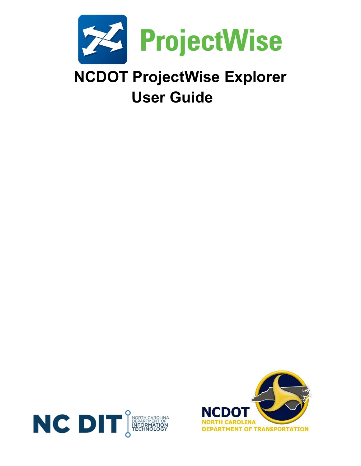

User Guide



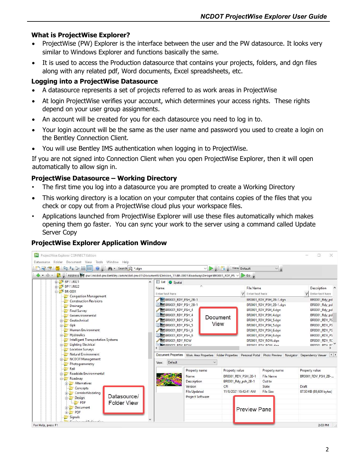#### What is ProjectWise Explorer?

- ProjectWise (PW) Explorer is the interface between the user and the PW datasource. It looks very similar to Windows Explorer and functions basically the same.
- It is used to access the Production datasource that contains your projects, folders, and dgn files along with any related pdf, Word documents, Excel spreadsheets, etc.

### Logging into a ProjectWise Datasource

- A datasource represents a set of projects referred to as work areas in ProjectWise
- At login ProjectWise verifies your account, which determines your access rights. These rights depend on your user group assignments.
- An account will be created for you for each datasource you need to log in to.
- Your login account will be the same as the user name and password you used to create a login on the Bentley Connection Client.
- You will use Bentley IMS authentication when logging in to ProjectWise.

If you are not signed into Connection Client when you open ProjectWise Explorer, then it will open automatically to allow sign in.

# ProjectWise Datasource – Working Directory

- The first time you log into a datasource you are prompted to create a Working Directory
- This working directory is a location on your computer that contains copies of the files that you check or copy out from a ProjectWise cloud plus your workspace files.
- Applications launched from ProjectWise Explorer will use these files automatically which makes opening them go faster. You can sync your work to the server using a command called Update Server Copy



# ProjectWise Explorer Application Window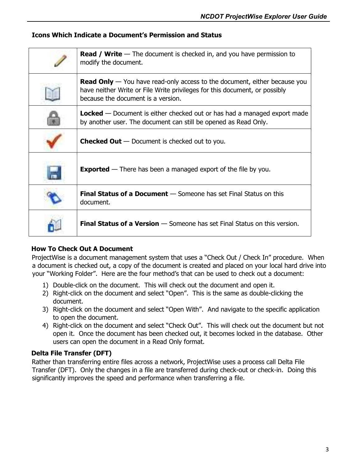### Icons Which Indicate a Document's Permission and Status

| <b>Read / Write</b> $-$ The document is checked in, and you have permission to<br>modify the document.                                                                                               |  |  |  |
|------------------------------------------------------------------------------------------------------------------------------------------------------------------------------------------------------|--|--|--|
| <b>Read Only</b> — You have read-only access to the document, either because you<br>have neither Write or File Write privileges for this document, or possibly<br>because the document is a version. |  |  |  |
| <b>Locked</b> $-$ Document is either checked out or has had a managed export made<br>by another user. The document can still be opened as Read Only.                                                 |  |  |  |
| <b>Checked Out</b> $-$ Document is checked out to you.                                                                                                                                               |  |  |  |
| <b>Exported</b> $-$ There has been a managed export of the file by you.                                                                                                                              |  |  |  |
| <b>Final Status of a Document</b> - Someone has set Final Status on this<br>document.                                                                                                                |  |  |  |
| <b>Final Status of a Version</b> - Someone has set Final Status on this version.                                                                                                                     |  |  |  |

# How To Check Out A Document

ProjectWise is a document management system that uses a "Check Out / Check In" procedure. When a document is checked out, a copy of the document is created and placed on your local hard drive into your "Working Folder". Here are the four method's that can be used to check out a document:

- 1) Double-click on the document. This will check out the document and open it.
- 2) Right-click on the document and select "Open". This is the same as double-clicking the document.
- 3) Right-click on the document and select "Open With". And navigate to the specific application to open the document.
- 4) Right-click on the document and select "Check Out". This will check out the document but not open it. Once the document has been checked out, it becomes locked in the database. Other users can open the document in a Read Only format.

# Delta File Transfer (DFT)

Rather than transferring entire files across a network, ProjectWise uses a process call Delta File Transfer (DFT). Only the changes in a file are transferred during check-out or check-in. Doing this significantly improves the speed and performance when transferring a file.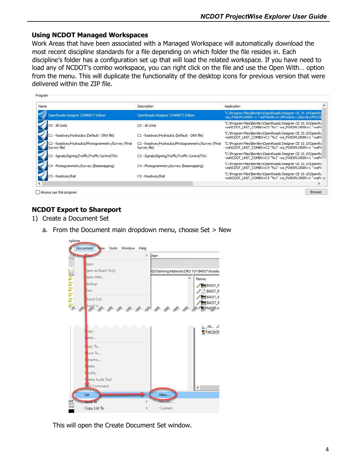#### Using NCDOT Managed Workspaces

Work Areas that have been associated with a Managed Workspace will automatically download the most recent discipline standards for a file depending on which folder the file resides in. Each discipline's folder has a configuration set up that will load the related workspace. If you have need to load any of NCDOT's combo workspace, you can right click on the file and use the Open With… option from the menu. This will duplicate the functionality of the desktop icons for previous version that were delivered within the ZIP file.

| Name                                                                 | Description                                                          | Application                                                                                                            |
|----------------------------------------------------------------------|----------------------------------------------------------------------|------------------------------------------------------------------------------------------------------------------------|
| OpenRoads Designer CONNECT Edition                                   | OpenRoads Designer CONNECT Edition                                   | "C: \Program Files\Bentley\OpenRoads Designer CE 10.10\OpenRd<br>-ws PWEXPLORER=1"-wsPWDIR=C:/PROGRA~1/Bentley/PROJE   |
| CO - All Units                                                       | C <sub>0</sub> - All Units                                           | "C: \Program Files\Bentley\OpenRoads Designer CE 10.10\OpenRc<br>-wsNCDOT_UNIT_COMBO=C0 "%1" -ws_PWEXPLORER=1"-wsPV    |
| C1 - Roadway/Hydraulics (Default - DRN file)                         | C1 - Roadway/Hydraulics (Default - DRN file)                         | "C: \Program Files\Bentley\OpenRoads Designer CE 10.10\OpenRc<br>-wsNCDOT_UNIT_COMBO=C1 "%1" -ws_PWEXPLORER=1 "-wsPV   |
| C2 - Roadway/Hydraulics/Photogrammetry/Survey (Final<br>Survey file) | C2 - Roadway/Hydraulics/Photogrammetry/Survey (Final<br>Survey file) | "C: \Program Files\Bentley\OpenRoads Designer CE 10.10\OpenRc<br>-wsNCDOT_UNIT_COMBO=C2 "%1" -ws_PWEXPLORER=1"-wsPV    |
| C3 - Signals/Signing/Traffic/Traffic Control/TSU                     | C3 - Signals/Signing/Traffic/Traffic Control/TSU                     | "C: \Program Files\Bentley\OpenRoads Designer CE 10.10\OpenRc<br>-wsNCDOT_UNIT_COMBO=C3 "%1" -ws_PWEXPLORER=1 "-wsPV   |
| C4 - Photogrammetry/Survey (Basemapping)                             | C4 - Photogrammetry/Survey (Basemapping)                             | "C: \Program Files\Bentley\OpenRoads Designer CE 10.10\OpenRc<br>-wsNCDOT UNIT COMBO=C4 "%1" -ws PWEXPLORER=1 "-wsPV   |
| C5 - Roadway/Rail                                                    | C5 - Roadway/Rail                                                    | "C: \Program Files\Bentley\OpenRoads Designer CE 10.10\OpenRc<br>-wsNCDOT UNIT COMBO=C5 "%1" -ws PWEXPLORER=1 "-wsPV v |
|                                                                      |                                                                      |                                                                                                                        |

# NCDOT Export to Shareport

- 1) Create a Document Set
	- a. From the Document main dropdown menu, choose Set > New



This will open the Create Document Set window.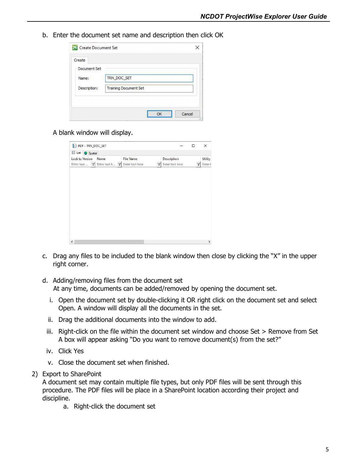b. Enter the document set name and description then click OK

| Name:        | TRN_DOC_SET                  |
|--------------|------------------------------|
| Description: | <b>Training Document Set</b> |

A blank window will display.

| PDF - TRN_DOC_SET             |                          |                              |   | ÷,                             | □            | X                         |
|-------------------------------|--------------------------|------------------------------|---|--------------------------------|--------------|---------------------------|
| E List Spatial                |                          |                              |   |                                |              |                           |
| Lock to Version<br>Enter text | Name<br>了 Enter text h 了 | File Name<br>Enter text here | 7 | Description<br>Enter text here | $\mathbb{Z}$ | <b>Utility</b><br>Enter t |
|                               |                          |                              |   |                                |              |                           |
|                               |                          |                              |   |                                |              |                           |
|                               |                          |                              |   |                                |              |                           |
|                               |                          |                              |   |                                |              |                           |
|                               |                          |                              |   |                                |              |                           |
|                               |                          |                              |   |                                |              |                           |
|                               |                          |                              |   |                                |              |                           |
|                               |                          |                              |   |                                |              |                           |

- c. Drag any files to be included to the blank window then close by clicking the "X" in the upper right corner.
- d. Adding/removing files from the document set At any time, documents can be added/removed by opening the document set.
	- i. Open the document set by double-clicking it OR right click on the document set and select Open. A window will display all the documents in the set.
	- ii. Drag the additional documents into the window to add.
	- iii. Right-click on the file within the document set window and choose Set > Remove from Set A box will appear asking "Do you want to remove document(s) from the set?"
- iv. Click Yes
- v. Close the document set when finished.
- 2) Export to SharePoint

A document set may contain multiple file types, but only PDF files will be sent through this procedure. The PDF files will be place in a SharePoint location according their project and discipline.

a. Right-click the document set